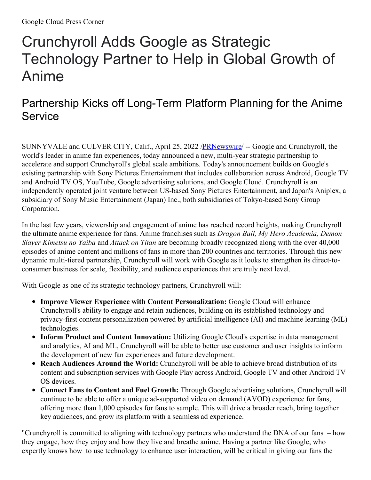# Crunchyroll Adds Google as Strategic Technology Partner to Help in Global Growth of Anime

## Partnership Kicks off Long-Term Platform Planning for the Anime **Service**

SUNNYVALE and CULVER CITY, Calif., April 25, 2022 /**PRNewswire/** -- Google and Crunchyroll, the world's leader in anime fan experiences, today announced a new, multi-year strategic partnership to accelerate and support Crunchyroll's global scale ambitions. Today's announcement builds on Google's existing partnership with Sony Pictures Entertainment that includes collaboration across Android, Google TV and Android TV OS, YouTube, Google advertising solutions, and Google Cloud. Crunchyroll is an independently operated joint venture between US-based Sony Pictures Entertainment, and Japan's Aniplex, a subsidiary of Sony Music Entertainment (Japan) Inc., both subsidiaries of Tokyo-based Sony Group Corporation.

In the last few years, viewership and engagement of anime has reached record heights, making Crunchyroll the ultimate anime experience for fans. Anime franchises such as *Dragon Ball, My Hero Academia, Demon Slayer Kimetsu no Yaiba* and *Attack on Titan* are becoming broadly recognized along with the over 40,000 episodes of anime content and millions of fans in more than 200 countries and territories. Through this new dynamic multi-tiered partnership, Crunchyroll will work with Google as it looks to strengthen its direct-toconsumer business for scale, flexibility, and audience experiences that are truly next level.

With Google as one of its strategic technology partners, Crunchyroll will:

- **Improve Viewer Experience with Content Personalization:** Google Cloud will enhance Crunchyroll's ability to engage and retain audiences, building on its established technology and privacy-first content personalization powered by artificial intelligence (AI) and machine learning (ML) technologies.
- **Inform Product and Content Innovation:** Utilizing Google Cloud's expertise in data management and analytics, AI and ML, Crunchyroll will be able to better use customer and user insights to inform the development of new fan experiences and future development.
- **Reach Audiences Around the World:** Crunchyroll will be able to achieve broad distribution of its content and subscription services with Google Play across Android, Google TV and other Android TV OS devices.
- **Connect Fans to Content and Fuel Growth:** Through Google advertising solutions, Crunchyroll will continue to be able to offer a unique ad-supported video on demand (AVOD) experience for fans, offering more than 1,000 episodes for fans to sample. This will drive a broader reach, bring together key audiences, and grow its platform with a seamless ad experience.

"Crunchyroll is committed to aligning with technology partners who understand the DNA of our fans – how they engage, how they enjoy and how they live and breathe anime. Having a partner like Google, who expertly knows how to use technology to enhance user interaction, will be critical in giving our fans the